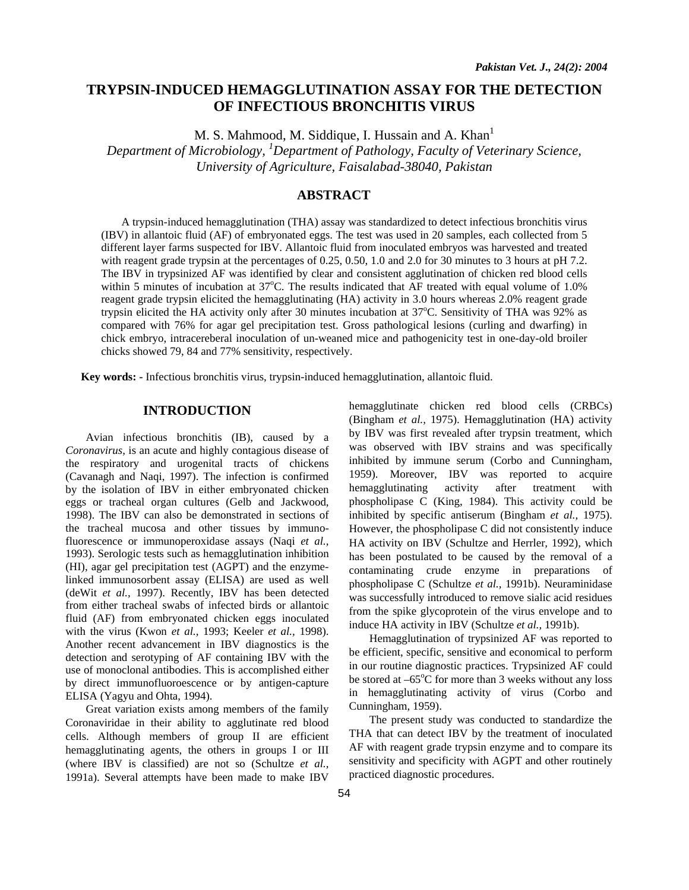# **TRYPSIN-INDUCED HEMAGGLUTINATION ASSAY FOR THE DETECTION OF INFECTIOUS BRONCHITIS VIRUS**

M. S. Mahmood, M. Siddique, I. Hussain and A. Khan<sup>1</sup> *Department of Microbiology, 1 Department of Pathology, Faculty of Veterinary Science, University of Agriculture, Faisalabad-38040, Pakistan*

# **ABSTRACT**

A trypsin-induced hemagglutination (THA) assay was standardized to detect infectious bronchitis virus (IBV) in allantoic fluid (AF) of embryonated eggs. The test was used in 20 samples, each collected from 5 different layer farms suspected for IBV. Allantoic fluid from inoculated embryos was harvested and treated with reagent grade trypsin at the percentages of 0.25, 0.50, 1.0 and 2.0 for 30 minutes to 3 hours at pH 7.2. The IBV in trypsinized AF was identified by clear and consistent agglutination of chicken red blood cells within 5 minutes of incubation at 37°C. The results indicated that AF treated with equal volume of 1.0% reagent grade trypsin elicited the hemagglutinating (HA) activity in 3.0 hours whereas 2.0% reagent grade trypsin elicited the HA activity only after 30 minutes incubation at 37°C. Sensitivity of THA was 92% as compared with 76% for agar gel precipitation test. Gross pathological lesions (curling and dwarfing) in chick embryo, intracereberal inoculation of un-weaned mice and pathogenicity test in one-day-old broiler chicks showed 79, 84 and 77% sensitivity, respectively.

**Key words: -** Infectious bronchitis virus, trypsin-induced hemagglutination, allantoic fluid.

# **INTRODUCTION**

Avian infectious bronchitis (IB), caused by a *Coronavirus,* is an acute and highly contagious disease of the respiratory and urogenital tracts of chickens (Cavanagh and Naqi, 1997). The infection is confirmed by the isolation of IBV in either embryonated chicken eggs or tracheal organ cultures (Gelb and Jackwood, 1998). The IBV can also be demonstrated in sections of the tracheal mucosa and other tissues by immunofluorescence or immunoperoxidase assays (Naqi *et al.,* 1993). Serologic tests such as hemagglutination inhibition (HI), agar gel precipitation test (AGPT) and the enzymelinked immunosorbent assay (ELISA) are used as well (deWit *et al.,* 1997). Recently, IBV has been detected from either tracheal swabs of infected birds or allantoic fluid (AF) from embryonated chicken eggs inoculated with the virus (Kwon *et al.,* 1993; Keeler *et al.,* 1998). Another recent advancement in IBV diagnostics is the detection and serotyping of AF containing IBV with the use of monoclonal antibodies. This is accomplished either by direct immunofluoroescence or by antigen-capture ELISA (Yagyu and Ohta, 1994).

Great variation exists among members of the family Coronaviridae in their ability to agglutinate red blood cells. Although members of group II are efficient hemagglutinating agents, the others in groups I or III (where IBV is classified) are not so (Schultze *et al.,* 1991a). Several attempts have been made to make IBV

hemagglutinate chicken red blood cells (CRBCs) (Bingham *et al.,* 1975). Hemagglutination (HA) activity by IBV was first revealed after trypsin treatment, which was observed with IBV strains and was specifically inhibited by immune serum (Corbo and Cunningham, 1959). Moreover, IBV was reported to acquire hemagglutinating activity after treatment with phospholipase C (King, 1984). This activity could be inhibited by specific antiserum (Bingham *et al.,* 1975). However, the phospholipase C did not consistently induce HA activity on IBV (Schultze and Herrler*,* 1992), which has been postulated to be caused by the removal of a contaminating crude enzyme in preparations of phospholipase C (Schultze *et al.,* 1991b). Neuraminidase was successfully introduced to remove sialic acid residues from the spike glycoprotein of the virus envelope and to induce HA activity in IBV (Schultze *et al.,* 1991b).

Hemagglutination of trypsinized AF was reported to be efficient, specific, sensitive and economical to perform in our routine diagnostic practices. Trypsinized AF could be stored at  $-65^{\circ}$ C for more than 3 weeks without any loss in hemagglutinating activity of virus (Corbo and Cunningham, 1959).

The present study was conducted to standardize the THA that can detect IBV by the treatment of inoculated AF with reagent grade trypsin enzyme and to compare its sensitivity and specificity with AGPT and other routinely practiced diagnostic procedures.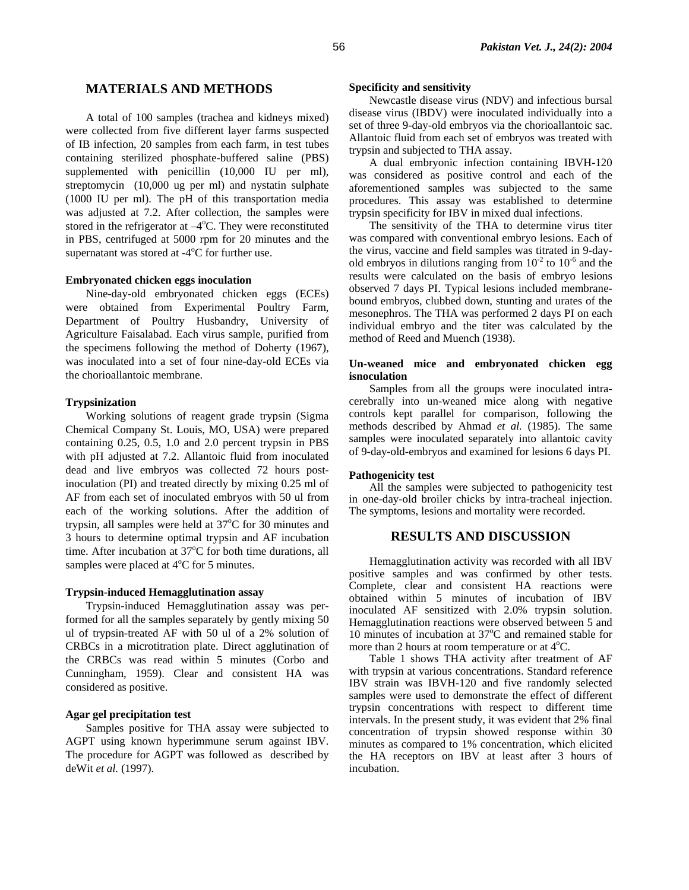## **MATERIALS AND METHODS**

A total of 100 samples (trachea and kidneys mixed) were collected from five different layer farms suspected of IB infection, 20 samples from each farm, in test tubes containing sterilized phosphate-buffered saline (PBS) supplemented with penicillin (10,000 IU per ml), streptomycin (10,000 ug per ml) and nystatin sulphate (1000 IU per ml). The pH of this transportation media was adjusted at 7.2. After collection, the samples were stored in the refrigerator at  $-4^{\circ}$ C. They were reconstituted in PBS, centrifuged at 5000 rpm for 20 minutes and the supernatant was stored at  $-4$ <sup>o</sup>C for further use.

#### **Embryonated chicken eggs inoculation**

Nine-day-old embryonated chicken eggs (ECEs) were obtained from Experimental Poultry Farm, Department of Poultry Husbandry, University of Agriculture Faisalabad. Each virus sample, purified from the specimens following the method of Doherty (1967), was inoculated into a set of four nine-day-old ECEs via the chorioallantoic membrane.

#### **Trypsinization**

Working solutions of reagent grade trypsin (Sigma Chemical Company St. Louis, MO, USA) were prepared containing 0.25, 0.5, 1.0 and 2.0 percent trypsin in PBS with pH adjusted at 7.2. Allantoic fluid from inoculated dead and live embryos was collected 72 hours postinoculation (PI) and treated directly by mixing 0.25 ml of AF from each set of inoculated embryos with 50 ul from each of the working solutions. After the addition of trypsin, all samples were held at 37°C for 30 minutes and 3 hours to determine optimal trypsin and AF incubation time. After incubation at  $37^{\circ}$ C for both time durations, all samples were placed at  $4^{\circ}$ C for 5 minutes.

#### **Trypsin-induced Hemagglutination assay**

Trypsin-induced Hemagglutination assay was performed for all the samples separately by gently mixing 50 ul of trypsin-treated AF with 50 ul of a 2% solution of CRBCs in a microtitration plate. Direct agglutination of the CRBCs was read within 5 minutes (Corbo and Cunningham, 1959). Clear and consistent HA was considered as positive.

#### **Agar gel precipitation test**

Samples positive for THA assay were subjected to AGPT using known hyperimmune serum against IBV. The procedure for AGPT was followed as described by deWit *et al.* (1997).

#### **Specificity and sensitivity**

Newcastle disease virus (NDV) and infectious bursal disease virus (IBDV) were inoculated individually into a set of three 9-day-old embryos via the chorioallantoic sac. Allantoic fluid from each set of embryos was treated with trypsin and subjected to THA assay.

A dual embryonic infection containing IBVH-120 was considered as positive control and each of the aforementioned samples was subjected to the same procedures. This assay was established to determine trypsin specificity for IBV in mixed dual infections.

The sensitivity of the THA to determine virus titer was compared with conventional embryo lesions. Each of the virus, vaccine and field samples was titrated in 9-dayold embryos in dilutions ranging from  $10^{-2}$  to  $10^{-6}$  and the results were calculated on the basis of embryo lesions observed 7 days PI. Typical lesions included membranebound embryos, clubbed down, stunting and urates of the mesonephros. The THA was performed 2 days PI on each individual embryo and the titer was calculated by the method of Reed and Muench (1938).

### **Un-weaned mice and embryonated chicken egg isnoculation**

Samples from all the groups were inoculated intracerebrally into un-weaned mice along with negative controls kept parallel for comparison, following the methods described by Ahmad *et al.* (1985). The same samples were inoculated separately into allantoic cavity of 9-day-old-embryos and examined for lesions 6 days PI.

#### **Pathogenicity test**

All the samples were subjected to pathogenicity test in one-day-old broiler chicks by intra-tracheal injection. The symptoms, lesions and mortality were recorded.

## **RESULTS AND DISCUSSION**

Hemagglutination activity was recorded with all IBV positive samples and was confirmed by other tests. Complete, clear and consistent HA reactions were obtained within 5 minutes of incubation of IBV inoculated AF sensitized with 2.0% trypsin solution. Hemagglutination reactions were observed between 5 and 10 minutes of incubation at  $37^{\circ}$ C and remained stable for more than 2 hours at room temperature or at  $4^{\circ}$ C.

Table 1 shows THA activity after treatment of AF with trypsin at various concentrations. Standard reference IBV strain was IBVH-120 and five randomly selected samples were used to demonstrate the effect of different trypsin concentrations with respect to different time intervals. In the present study, it was evident that 2% final concentration of trypsin showed response within 30 minutes as compared to 1% concentration, which elicited the HA receptors on IBV at least after 3 hours of incubation.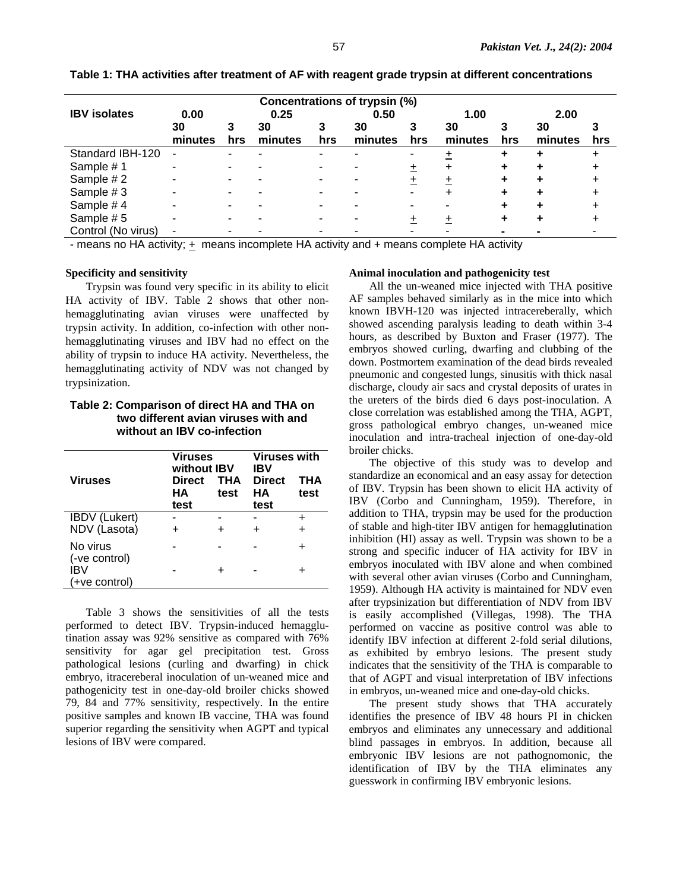| Concentrations of trypsin (%) |               |      |               |     |               |     |               |     |               |     |
|-------------------------------|---------------|------|---------------|-----|---------------|-----|---------------|-----|---------------|-----|
| <b>IBV</b> isolates           | 0.00          | 0.25 |               |     | 0.50          |     | 1.00          |     | 2.00          |     |
|                               | 30<br>minutes | hrs  | 30<br>minutes | hrs | 30<br>minutes | hrs | 30<br>minutes | hrs | 30<br>minutes | hrs |
| Standard IBH-120              |               |      |               |     |               |     |               |     |               |     |
| Sample #1                     |               |      |               |     |               |     |               |     |               |     |
| Sample #2                     |               |      |               |     |               |     |               |     |               |     |
| Sample #3                     |               |      |               |     |               |     |               |     |               |     |
| Sample #4                     |               |      |               |     |               |     |               |     |               |     |
| Sample #5                     |               |      |               |     |               |     |               |     |               |     |
| Control (No virus)            |               |      |               |     |               |     |               |     |               |     |

**Table 1: THA activities after treatment of AF with reagent grade trypsin at different concentrations** 

- means no HA activity; + means incomplete HA activity and + means complete HA activity

#### **Specificity and sensitivity**

Trypsin was found very specific in its ability to elicit HA activity of IBV. Table 2 shows that other nonhemagglutinating avian viruses were unaffected by trypsin activity. In addition, co-infection with other nonhemagglutinating viruses and IBV had no effect on the ability of trypsin to induce HA activity. Nevertheless, the hemagglutinating activity of NDV was not changed by trypsinization.

# **Table 2: Comparison of direct HA and THA on two different avian viruses with and without an IBV co-infection**

| <b>Viruses</b>                        | <b>Viruses</b><br>without IBV<br><b>Direct</b><br>HА<br>test | THA<br>test | <b>Viruses with</b><br>IBV<br><b>Direct</b><br><b>THA</b><br>HА<br>test<br>test |  |  |
|---------------------------------------|--------------------------------------------------------------|-------------|---------------------------------------------------------------------------------|--|--|
| <b>IBDV</b> (Lukert)<br>NDV (Lasota)  |                                                              | ٠           | ÷                                                                               |  |  |
| No virus                              |                                                              |             |                                                                                 |  |  |
| (-ve control)<br>IBV<br>(+ve control) |                                                              | ÷           |                                                                                 |  |  |

Table 3 shows the sensitivities of all the tests performed to detect IBV. Trypsin-induced hemagglutination assay was 92% sensitive as compared with 76% sensitivity for agar gel precipitation test. Gross pathological lesions (curling and dwarfing) in chick embryo, itracereberal inoculation of un-weaned mice and pathogenicity test in one-day-old broiler chicks showed 79, 84 and 77% sensitivity, respectively. In the entire positive samples and known IB vaccine, THA was found superior regarding the sensitivity when AGPT and typical lesions of IBV were compared.

#### **Animal inoculation and pathogenicity test**

All the un-weaned mice injected with THA positive AF samples behaved similarly as in the mice into which known IBVH-120 was injected intracereberally, which showed ascending paralysis leading to death within 3-4 hours, as described by Buxton and Fraser (1977). The embryos showed curling, dwarfing and clubbing of the down. Postmortem examination of the dead birds revealed pneumonic and congested lungs, sinusitis with thick nasal discharge, cloudy air sacs and crystal deposits of urates in the ureters of the birds died 6 days post-inoculation. A close correlation was established among the THA, AGPT, gross pathological embryo changes, un-weaned mice inoculation and intra-tracheal injection of one-day-old broiler chicks.

The objective of this study was to develop and standardize an economical and an easy assay for detection of IBV. Trypsin has been shown to elicit HA activity of IBV (Corbo and Cunningham, 1959). Therefore, in addition to THA, trypsin may be used for the production of stable and high-titer IBV antigen for hemagglutination inhibition (HI) assay as well. Trypsin was shown to be a strong and specific inducer of HA activity for IBV in embryos inoculated with IBV alone and when combined with several other avian viruses (Corbo and Cunningham, 1959). Although HA activity is maintained for NDV even after trypsinization but differentiation of NDV from IBV is easily accomplished (Villegas, 1998). The THA performed on vaccine as positive control was able to identify IBV infection at different 2-fold serial dilutions, as exhibited by embryo lesions. The present study indicates that the sensitivity of the THA is comparable to that of AGPT and visual interpretation of IBV infections in embryos, un-weaned mice and one-day-old chicks.

The present study shows that THA accurately identifies the presence of IBV 48 hours PI in chicken embryos and eliminates any unnecessary and additional blind passages in embryos. In addition, because all embryonic IBV lesions are not pathognomonic, the identification of IBV by the THA eliminates any guesswork in confirming IBV embryonic lesions.